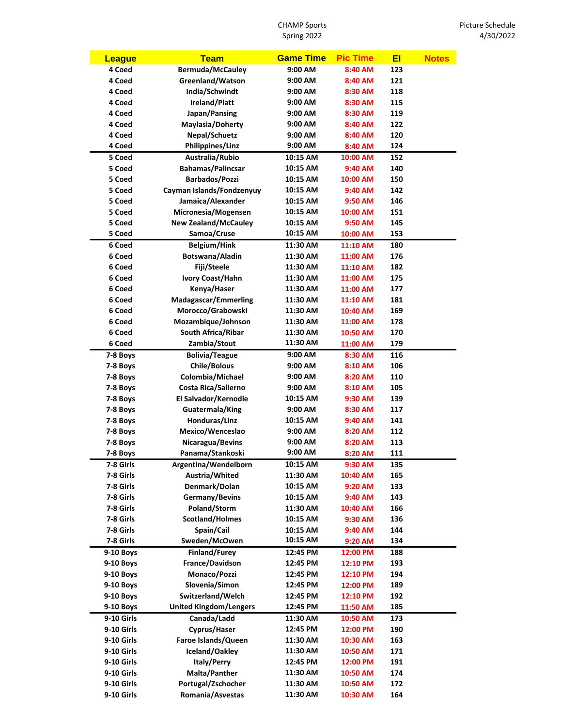CHAMP Sports Spring 2022

| <b>League</b>        | <b>Team</b>                   | <b>Game Time</b> | <b>Pic Time</b>    | EI  | <b>Notes</b> |
|----------------------|-------------------------------|------------------|--------------------|-----|--------------|
| 4 Coed               | <b>Bermuda/McCauley</b>       | 9:00 AM          | 8:40 AM            | 123 |              |
| 4 Coed               | Greenland/Watson              | 9:00 AM          | 8:40 AM            | 121 |              |
| 4 Coed               | India/Schwindt                | 9:00 AM          | 8:30 AM            | 118 |              |
| 4 Coed               | Ireland/Platt                 | 9:00 AM          | 8:30 AM            | 115 |              |
| 4 Coed               | Japan/Pansing                 | 9:00 AM          | 8:30 AM            | 119 |              |
| 4 Coed               | Maylasia/Doherty              | 9:00 AM          | 8:40 AM            | 122 |              |
| 4 Coed               | Nepal/Schuetz                 | 9:00 AM          | 8:40 AM            | 120 |              |
| 4 Coed               | <b>Philippines/Linz</b>       | 9:00 AM          | 8:40 AM            | 124 |              |
| 5 Coed               | Australia/Rubio               | 10:15 AM         | 10:00 AM           | 152 |              |
| 5 Coed               | <b>Bahamas/Palincsar</b>      | 10:15 AM         | 9:40 AM            | 140 |              |
| 5 Coed               | <b>Barbados/Pozzi</b>         | 10:15 AM         | 10:00 AM           | 150 |              |
| 5 Coed               | Cayman Islands/Fondzenyuy     | 10:15 AM         | 9:40 AM            | 142 |              |
| 5 Coed               | Jamaica/Alexander             | 10:15 AM         | 9:50 AM            | 146 |              |
| 5 Coed               | Micronesia/Mogensen           | 10:15 AM         | 10:00 AM           | 151 |              |
| 5 Coed               | <b>New Zealand/McCauley</b>   | 10:15 AM         | 9:50 AM            | 145 |              |
| 5 Coed               | Samoa/Cruse                   | 10:15 AM         | 10:00 AM           | 153 |              |
| 6 Coed               | <b>Belgium/Hink</b>           | 11:30 AM         | 11:10 AM           | 180 |              |
| 6 Coed               | Botswana/Aladin               | 11:30 AM         | 11:00 AM           | 176 |              |
| 6 Coed               | Fiji/Steele                   | 11:30 AM         | 11:10 AM           | 182 |              |
| 6 Coed               | Ivory Coast/Hahn              | 11:30 AM         | 11:00 AM           | 175 |              |
| 6 Coed               | Kenya/Haser                   | 11:30 AM         | 11:00 AM           | 177 |              |
| 6 Coed               | <b>Madagascar/Emmerling</b>   | 11:30 AM         | 11:10 AM           | 181 |              |
| 6 Coed               | Morocco/Grabowski             | 11:30 AM         | 10:40 AM           | 169 |              |
| 6 Coed               | Mozambique/Johnson            | 11:30 AM         | 11:00 AM           | 178 |              |
| 6 Coed               | South Africa/Ribar            | 11:30 AM         | 10:50 AM           | 170 |              |
| 6 Coed               | Zambia/Stout                  | 11:30 AM         | 11:00 AM           | 179 |              |
| 7-8 Boys             | <b>Bolivia/Teague</b>         | 9:00 AM          | 8:30 AM            | 116 |              |
| 7-8 Boys             | <b>Chile/Bolous</b>           | 9:00 AM          | 8:10 AM            | 106 |              |
| 7-8 Boys             | Colombia/Michael              | 9:00 AM          | 8:20 AM            | 110 |              |
| 7-8 Boys             | Costa Rica/Salierno           | 9:00 AM          | 8:10 AM            | 105 |              |
| 7-8 Boys             | El Salvador/Kernodle          | 10:15 AM         | 9:30 AM            | 139 |              |
|                      | Guatermala/King               | 9:00 AM          | 8:30 AM            | 117 |              |
| 7-8 Boys             | Honduras/Linz                 | 10:15 AM         |                    | 141 |              |
| 7-8 Boys             | Mexico/Wenceslao              | 9:00 AM          | 9:40 AM<br>8:20 AM | 112 |              |
| 7-8 Boys             | Nicaragua/Bevins              | 9:00 AM          | 8:20 AM            | 113 |              |
| 7-8 Boys<br>7-8 Boys |                               | 9:00 AM          |                    | 111 |              |
|                      | Panama/Stankoski              |                  | 8:20 AM            |     |              |
| 7-8 Girls            | Argentina/Wendelborn          | 10:15 AM         | 9:30 AM            | 135 |              |
| 7-8 Girls            | Austria/Whited                | 11:30 AM         | 10:40 AM           | 165 |              |
| 7-8 Girls            | Denmark/Dolan                 | 10:15 AM         | 9:20 AM            | 133 |              |
| 7-8 Girls            | Germany/Bevins                | 10:15 AM         | 9:40 AM            | 143 |              |
| 7-8 Girls            | Poland/Storm                  | 11:30 AM         | 10:40 AM           | 166 |              |
| 7-8 Girls            | Scotland/Holmes               | 10:15 AM         | 9:30 AM            | 136 |              |
| 7-8 Girls            | Spain/Cail                    | 10:15 AM         | 9:40 AM            | 144 |              |
| 7-8 Girls            | Sweden/McOwen                 | 10:15 AM         | 9:20 AM            | 134 |              |
| 9-10 Boys            | <b>Finland/Furey</b>          | 12:45 PM         | 12:00 PM           | 188 |              |
| <b>9-10 Boys</b>     | France/Davidson               | 12:45 PM         | 12:10 PM           | 193 |              |
| 9-10 Boys            | Monaco/Pozzi                  | 12:45 PM         | 12:10 PM           | 194 |              |
| 9-10 Boys            | Slovenia/Simon                | 12:45 PM         | 12:00 PM           | 189 |              |
| 9-10 Boys            | Switzerland/Welch             | 12:45 PM         | 12:10 PM           | 192 |              |
| 9-10 Boys            | <b>United Kingdom/Lengers</b> | 12:45 PM         | 11:50 AM           | 185 |              |
| <b>9-10 Girls</b>    | Canada/Ladd                   | 11:30 AM         | 10:50 AM           | 173 |              |
| <b>9-10 Girls</b>    | Cyprus/Haser                  | 12:45 PM         | 12:00 PM           | 190 |              |
| 9-10 Girls           | Faroe Islands/Queen           | 11:30 AM         | 10:30 AM           | 163 |              |
| <b>9-10 Girls</b>    | Iceland/Oakley                | 11:30 AM         | 10:50 AM           | 171 |              |
| <b>9-10 Girls</b>    | <b>Italy/Perry</b>            | 12:45 PM         | 12:00 PM           | 191 |              |
| <b>9-10 Girls</b>    | Malta/Panther                 | 11:30 AM         | 10:50 AM           | 174 |              |
| <b>9-10 Girls</b>    | Portugal/Zschocher            | 11:30 AM         | 10:50 AM           | 172 |              |
| 9-10 Girls           | Romania/Asvestas              | 11:30 AM         | 10:30 AM           | 164 |              |